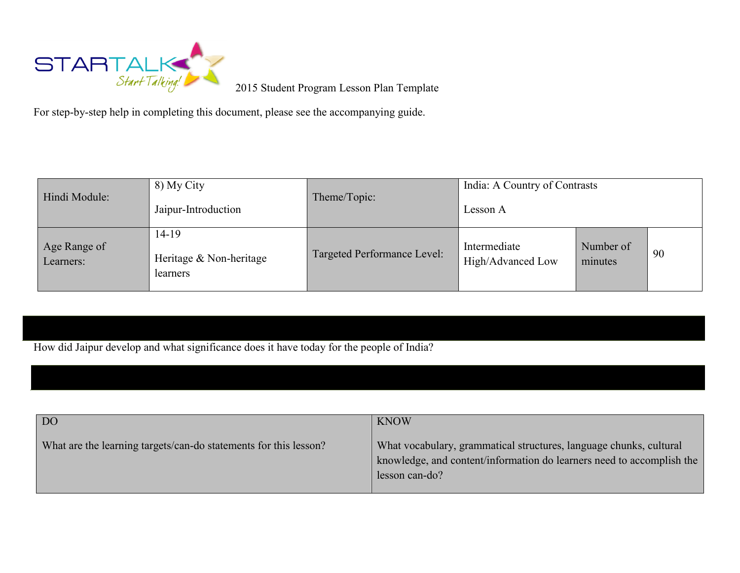

2015 Student Program Lesson Plan Template

For step-by-step help in completing this document, please see the accompanying guide.

| Hindi Module:             | 8) My City<br>Jaipur-Introduction            | India: A Country of Contrasts<br>Theme/Topic:<br>Lesson A |                                   |                      |    |
|---------------------------|----------------------------------------------|-----------------------------------------------------------|-----------------------------------|----------------------|----|
| Age Range of<br>Learners: | 14-19<br>Heritage & Non-heritage<br>learners | Targeted Performance Level:                               | Intermediate<br>High/Advanced Low | Number of<br>minutes | 90 |

How did Jaipur develop and what significance does it have today for the people of India?

| DO <sub>1</sub>                                                  | <b>KNOW</b>                                                                                                                                                   |
|------------------------------------------------------------------|---------------------------------------------------------------------------------------------------------------------------------------------------------------|
| What are the learning targets/can-do statements for this lesson? | What vocabulary, grammatical structures, language chunks, cultural<br>knowledge, and content/information do learners need to accomplish the<br>lesson can-do? |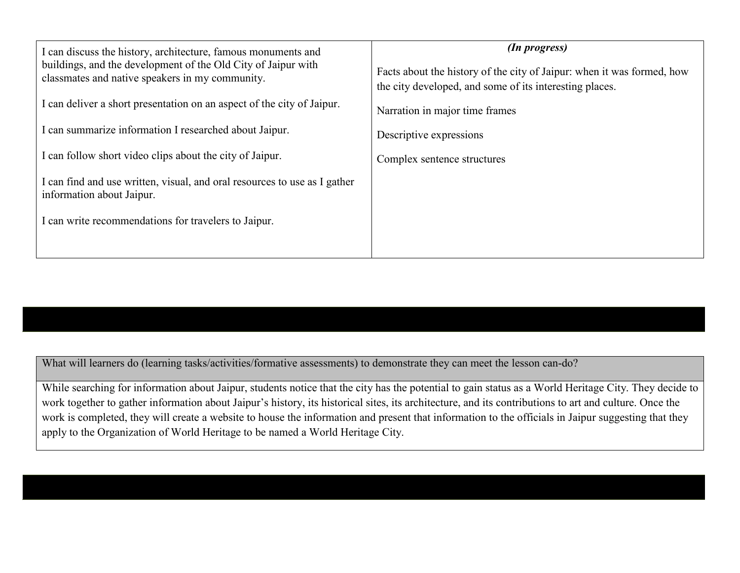| I can discuss the history, architecture, famous monuments and<br>buildings, and the development of the Old City of Jaipur with<br>classmates and native speakers in my community. | (In progress)<br>Facts about the history of the city of Jaipur: when it was formed, how<br>the city developed, and some of its interesting places. |  |
|-----------------------------------------------------------------------------------------------------------------------------------------------------------------------------------|----------------------------------------------------------------------------------------------------------------------------------------------------|--|
| I can deliver a short presentation on an aspect of the city of Jaipur.                                                                                                            | Narration in major time frames                                                                                                                     |  |
| I can summarize information I researched about Jaipur.                                                                                                                            | Descriptive expressions                                                                                                                            |  |
| I can follow short video clips about the city of Jaipur.                                                                                                                          | Complex sentence structures                                                                                                                        |  |
| I can find and use written, visual, and oral resources to use as I gather<br>information about Jaipur.                                                                            |                                                                                                                                                    |  |
| I can write recommendations for travelers to Jaipur.                                                                                                                              |                                                                                                                                                    |  |
|                                                                                                                                                                                   |                                                                                                                                                    |  |

What will learners do (learning tasks/activities/formative assessments) to demonstrate they can meet the lesson can-do?

While searching for information about Jaipur, students notice that the city has the potential to gain status as a World Heritage City. They decide to work together to gather information about Jaipur's history, its historical sites, its architecture, and its contributions to art and culture. Once the work is completed, they will create a website to house the information and present that information to the officials in Jaipur suggesting that they apply to the Organization of World Heritage to be named a World Heritage City.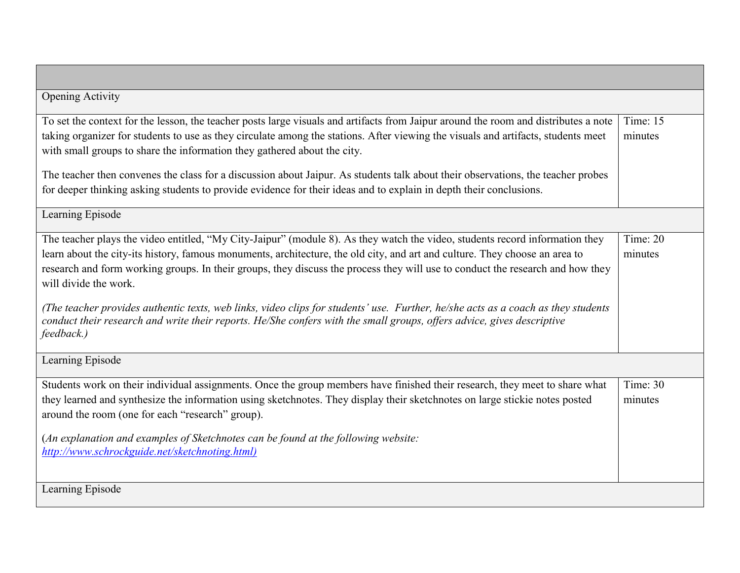| <b>Opening Activity</b>                                                                                                                                                                                                                                                                                                                                                                                                                                |                       |
|--------------------------------------------------------------------------------------------------------------------------------------------------------------------------------------------------------------------------------------------------------------------------------------------------------------------------------------------------------------------------------------------------------------------------------------------------------|-----------------------|
| To set the context for the lesson, the teacher posts large visuals and artifacts from Jaipur around the room and distributes a note                                                                                                                                                                                                                                                                                                                    | Time: 15              |
| taking organizer for students to use as they circulate among the stations. After viewing the visuals and artifacts, students meet<br>with small groups to share the information they gathered about the city.                                                                                                                                                                                                                                          | minutes               |
| The teacher then convenes the class for a discussion about Jaipur. As students talk about their observations, the teacher probes<br>for deeper thinking asking students to provide evidence for their ideas and to explain in depth their conclusions.                                                                                                                                                                                                 |                       |
| Learning Episode                                                                                                                                                                                                                                                                                                                                                                                                                                       |                       |
| The teacher plays the video entitled, "My City-Jaipur" (module 8). As they watch the video, students record information they<br>learn about the city-its history, famous monuments, architecture, the old city, and art and culture. They choose an area to<br>research and form working groups. In their groups, they discuss the process they will use to conduct the research and how they<br>will divide the work.                                 | Time: 20<br>minutes   |
| (The teacher provides authentic texts, web links, video clips for students' use. Further, he/she acts as a coach as they students<br>conduct their research and write their reports. He/She confers with the small groups, offers advice, gives descriptive<br>feedback.)                                                                                                                                                                              |                       |
| Learning Episode                                                                                                                                                                                                                                                                                                                                                                                                                                       |                       |
| Students work on their individual assignments. Once the group members have finished their research, they meet to share what<br>they learned and synthesize the information using sketchnotes. They display their sketchnotes on large stickie notes posted<br>around the room (one for each "research" group).<br>(An explanation and examples of Sketchnotes can be found at the following website:<br>http://www.schrockguide.net/sketchnoting.html) | Time: $30$<br>minutes |
| Learning Episode                                                                                                                                                                                                                                                                                                                                                                                                                                       |                       |

┍